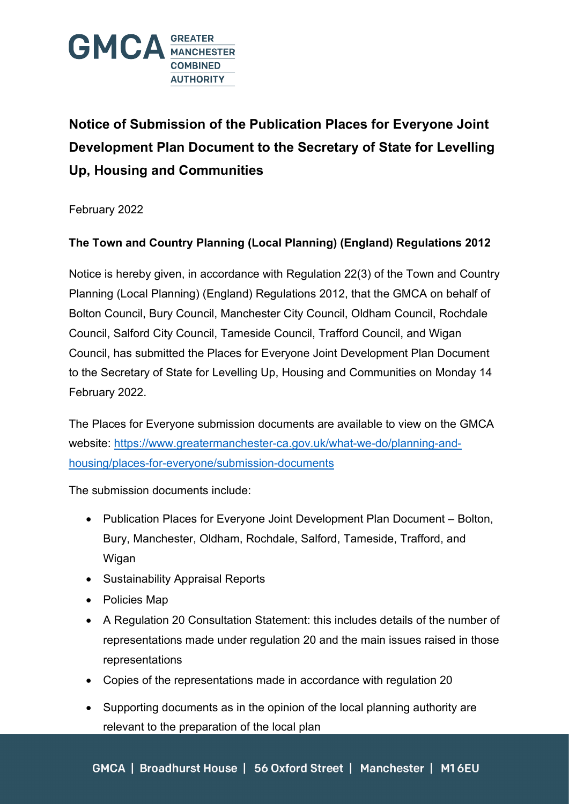

**Notice of Submission of the Publication Places for Everyone Joint Development Plan Document to the Secretary of State for Levelling Up, Housing and Communities**

February 2022

## **The Town and Country Planning (Local Planning) (England) Regulations 2012**

Notice is hereby given, in accordance with Regulation 22(3) of the Town and Country Planning (Local Planning) (England) Regulations 2012, that the GMCA on behalf of Bolton Council, Bury Council, Manchester City Council, Oldham Council, Rochdale Council, Salford City Council, Tameside Council, Trafford Council, and Wigan Council, has submitted the Places for Everyone Joint Development Plan Document to the Secretary of State for Levelling Up, Housing and Communities on Monday 14 February 2022.

The Places for Everyone submission documents are available to view on the GMCA website: [https://www.greatermanchester-ca.gov.uk/what-we-do/planning-and](https://www.greatermanchester-ca.gov.uk/what-we-do/planning-and-housing/places-for-everyone/submission-documents)[housing/places-for-everyone/submission-documents](https://www.greatermanchester-ca.gov.uk/what-we-do/planning-and-housing/places-for-everyone/submission-documents)

The submission documents include:

- Publication Places for Everyone Joint Development Plan Document Bolton, Bury, Manchester, Oldham, Rochdale, Salford, Tameside, Trafford, and Wigan
- Sustainability Appraisal Reports
- Policies Map
- A Regulation 20 Consultation Statement: this includes details of the number of representations made under regulation 20 and the main issues raised in those representations
- Copies of the representations made in accordance with regulation 20
- Supporting documents as in the opinion of the local planning authority are relevant to the preparation of the local plan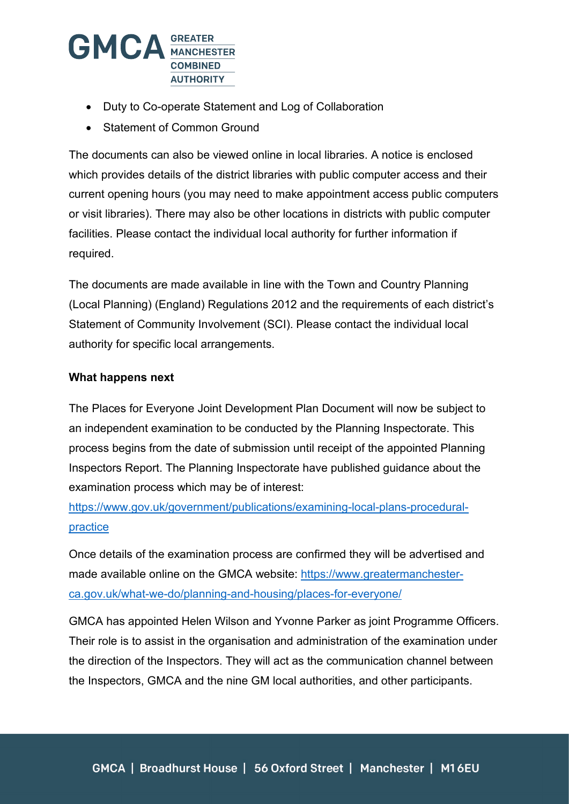

- Duty to Co-operate Statement and Log of Collaboration
- Statement of Common Ground

The documents can also be viewed online in local libraries. A notice is enclosed which provides details of the district libraries with public computer access and their current opening hours (you may need to make appointment access public computers or visit libraries). There may also be other locations in districts with public computer facilities. Please contact the individual local authority for further information if required.

The documents are made available in line with the Town and Country Planning (Local Planning) (England) Regulations 2012 and the requirements of each district's Statement of Community Involvement (SCI). Please contact the individual local authority for specific local arrangements.

## **What happens next**

The Places for Everyone Joint Development Plan Document will now be subject to an independent examination to be conducted by the Planning Inspectorate. This process begins from the date of submission until receipt of the appointed Planning Inspectors Report. The Planning Inspectorate have published guidance about the examination process which may be of interest:

[https://www.gov.uk/government/publications/examining-local-plans-procedural](https://www.gov.uk/government/publications/examining-local-plans-procedural-practice)[practice](https://www.gov.uk/government/publications/examining-local-plans-procedural-practice)

Once details of the examination process are confirmed they will be advertised and made available online on the GMCA website: [https://www.greatermanchester](https://www.greatermanchester-ca.gov.uk/what-we-do/planning-and-housing/places-for-everyone/)[ca.gov.uk/what-we-do/planning-and-housing/places-for-everyone/](https://www.greatermanchester-ca.gov.uk/what-we-do/planning-and-housing/places-for-everyone/)

GMCA has appointed Helen Wilson and Yvonne Parker as joint Programme Officers. Their role is to assist in the organisation and administration of the examination under the direction of the Inspectors. They will act as the communication channel between the Inspectors, GMCA and the nine GM local authorities, and other participants.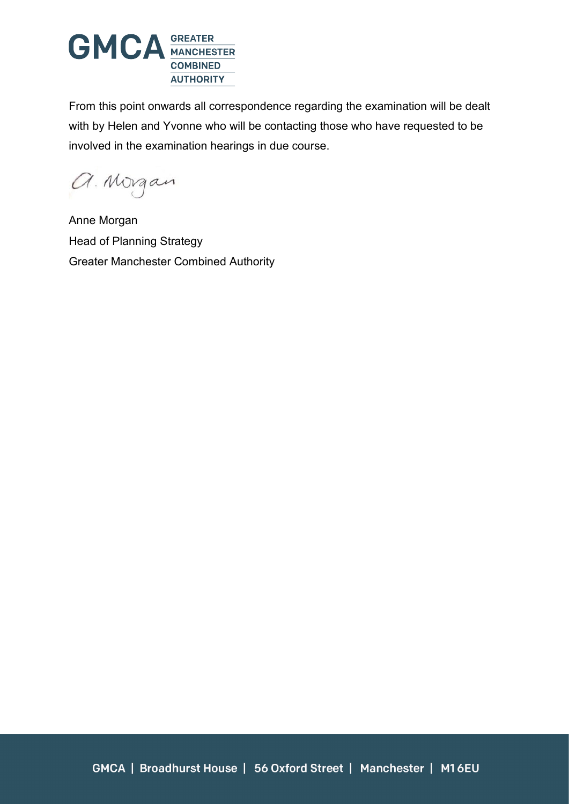

From this point onwards all correspondence regarding the examination will be dealt with by Helen and Yvonne who will be contacting those who have requested to be involved in the examination hearings in due course.

a. Morgan

Anne Morgan Head of Planning Strategy Greater Manchester Combined Authority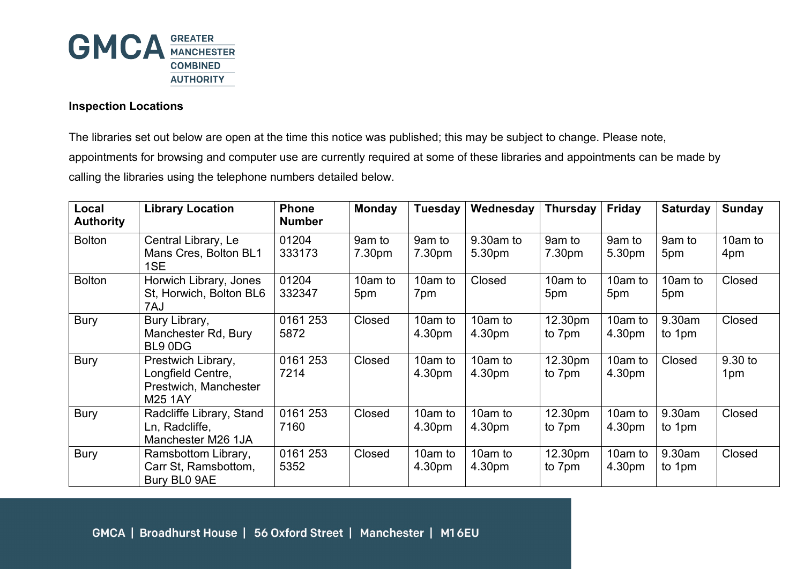

## **Inspection Locations**

The libraries set out below are open at the time this notice was published; this may be subject to change. Please note, appointments for browsing and computer use are currently required at some of these libraries and appointments can be made by calling the libraries using the telephone numbers detailed below.

| Local<br><b>Authority</b> | <b>Library Location</b>                                                            | <b>Phone</b><br><b>Number</b> | <b>Monday</b>    | <b>Tuesday</b>    | Wednesday           | <b>Thursday</b>   | Friday            | <b>Saturday</b>  | Sunday         |
|---------------------------|------------------------------------------------------------------------------------|-------------------------------|------------------|-------------------|---------------------|-------------------|-------------------|------------------|----------------|
| <b>Bolton</b>             | Central Library, Le<br>Mans Cres, Bolton BL1<br>1SE                                | 01204<br>333173               | 9am to<br>7.30pm | 9am to<br>7.30pm  | 9.30am to<br>5.30pm | 9am to<br>7.30pm  | 9am to<br>5.30pm  | 9am to<br>5pm    | 10am to<br>4pm |
| <b>Bolton</b>             | Horwich Library, Jones<br>St, Horwich, Bolton BL6<br>7AJ                           | 01204<br>332347               | 10am to<br>5pm   | 10am to<br>7pm    | Closed              | 10am to<br>5pm    | 10am to<br>5pm    | 10am to<br>5pm   | Closed         |
| <b>Bury</b>               | Bury Library,<br>Manchester Rd, Bury<br>BL9 0DG                                    | 0161 253<br>5872              | Closed           | 10am to<br>4.30pm | 10am to<br>4.30pm   | 12.30pm<br>to 7pm | 10am to<br>4.30pm | 9.30am<br>to 1pm | Closed         |
| <b>Bury</b>               | Prestwich Library,<br>Longfield Centre,<br>Prestwich, Manchester<br><b>M25 1AY</b> | 0161 253<br>7214              | Closed           | 10am to<br>4.30pm | 10am to<br>4.30pm   | 12.30pm<br>to 7pm | 10am to<br>4.30pm | Closed           | 9.30 to<br>1pm |
| <b>Bury</b>               | Radcliffe Library, Stand<br>Ln, Radcliffe,<br>Manchester M26 1JA                   | 0161 253<br>7160              | Closed           | 10am to<br>4.30pm | 10am to<br>4.30pm   | 12.30pm<br>to 7pm | 10am to<br>4.30pm | 9.30am<br>to 1pm | Closed         |
| <b>Bury</b>               | Ramsbottom Library,<br>Carr St, Ramsbottom,<br>Bury BL0 9AE                        | 0161 253<br>5352              | Closed           | 10am to<br>4.30pm | 10am to<br>4.30pm   | 12.30pm<br>to 7pm | 10am to<br>4.30pm | 9.30am<br>to 1pm | Closed         |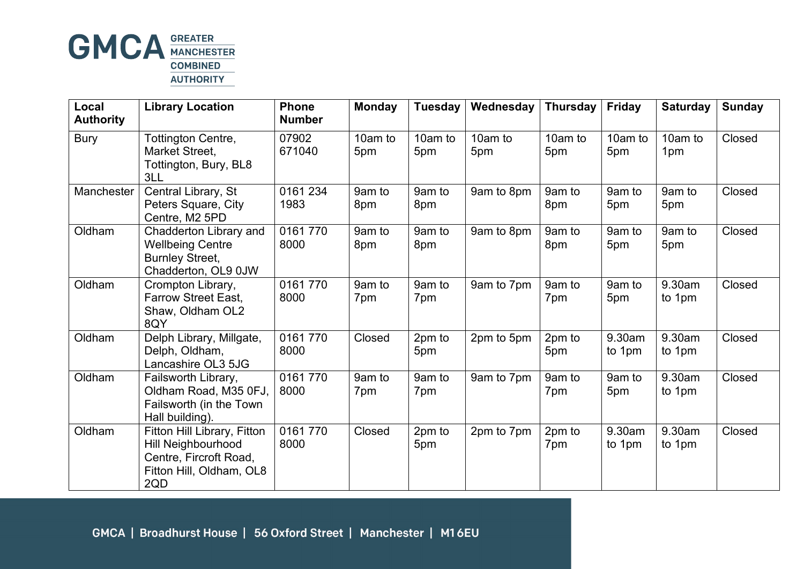

| Local<br><b>Authority</b> | <b>Library Location</b>                                                                                        | <b>Phone</b><br><b>Number</b> | <b>Monday</b>  | <b>Tuesday</b> | Wednesday      | <b>Thursday</b> | <b>Friday</b>    | <b>Saturday</b>  | <b>Sunday</b> |
|---------------------------|----------------------------------------------------------------------------------------------------------------|-------------------------------|----------------|----------------|----------------|-----------------|------------------|------------------|---------------|
| <b>Bury</b>               | Tottington Centre,<br>Market Street,<br>Tottington, Bury, BL8<br>3LL                                           | 07902<br>671040               | 10am to<br>5pm | 10am to<br>5pm | 10am to<br>5pm | 10am to<br>5pm  | 10am to<br>5pm   | 10am to<br>1pm   | Closed        |
| Manchester                | Central Library, St<br>Peters Square, City<br>Centre, M2 5PD                                                   | 0161 234<br>1983              | 9am to<br>8pm  | 9am to<br>8pm  | 9am to 8pm     | 9am to<br>8pm   | 9am to<br>5pm    | 9am to<br>5pm    | Closed        |
| Oldham                    | Chadderton Library and<br><b>Wellbeing Centre</b><br><b>Burnley Street,</b><br>Chadderton, OL9 0JW             | 0161770<br>8000               | 9am to<br>8pm  | 9am to<br>8pm  | 9am to 8pm     | 9am to<br>8pm   | 9am to<br>5pm    | 9am to<br>5pm    | Closed        |
| Oldham                    | Crompton Library,<br><b>Farrow Street East,</b><br>Shaw, Oldham OL2<br>8QY                                     | 0161770<br>8000               | 9am to<br>7pm  | 9am to<br>7pm  | 9am to 7pm     | 9am to<br>7pm   | 9am to<br>5pm    | 9.30am<br>to 1pm | Closed        |
| Oldham                    | Delph Library, Millgate,<br>Delph, Oldham,<br>Lancashire OL3 5JG                                               | 0161 770<br>8000              | Closed         | 2pm to<br>5pm  | 2pm to 5pm     | 2pm to<br>5pm   | 9.30am<br>to 1pm | 9.30am<br>to 1pm | Closed        |
| Oldham                    | Failsworth Library,<br>Oldham Road, M35 0FJ,<br>Failsworth (in the Town<br>Hall building).                     | 0161770<br>8000               | 9am to<br>7pm  | 9am to<br>7pm  | 9am to 7pm     | 9am to<br>7pm   | 9am to<br>5pm    | 9.30am<br>to 1pm | Closed        |
| Oldham                    | Fitton Hill Library, Fitton<br>Hill Neighbourhood<br>Centre, Fircroft Road,<br>Fitton Hill, Oldham, OL8<br>2QD | 0161770<br>8000               | Closed         | 2pm to<br>5pm  | 2pm to 7pm     | 2pm to<br>7pm   | 9.30am<br>to 1pm | 9.30am<br>to 1pm | Closed        |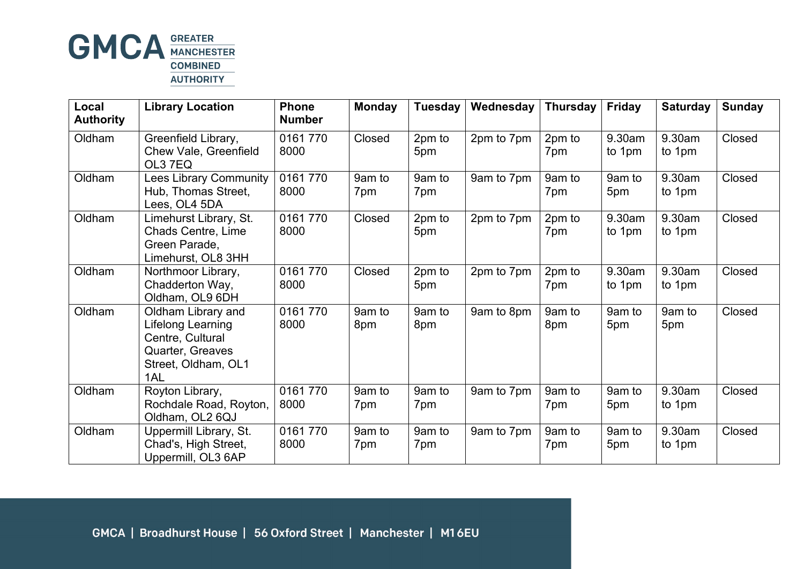

| Local<br><b>Authority</b> | <b>Library Location</b>                                                                                       | <b>Phone</b><br><b>Number</b> | <b>Monday</b> | Tuesday       | Wednesday  | <b>Thursday</b> | <b>Friday</b>    | <b>Saturday</b>  | <b>Sunday</b> |
|---------------------------|---------------------------------------------------------------------------------------------------------------|-------------------------------|---------------|---------------|------------|-----------------|------------------|------------------|---------------|
| Oldham                    | Greenfield Library,<br>Chew Vale, Greenfield<br>OL3 7EQ                                                       | 0161770<br>8000               | Closed        | 2pm to<br>5pm | 2pm to 7pm | 2pm to<br>7pm   | 9.30am<br>to 1pm | 9.30am<br>to 1pm | Closed        |
| Oldham                    | <b>Lees Library Community</b><br>Hub, Thomas Street,<br>Lees, OL4 5DA                                         | 0161770<br>8000               | 9am to<br>7pm | 9am to<br>7pm | 9am to 7pm | 9am to<br>7pm   | 9am to<br>5pm    | 9.30am<br>to 1pm | Closed        |
| Oldham                    | Limehurst Library, St.<br><b>Chads Centre, Lime</b><br>Green Parade,<br>Limehurst, OL8 3HH                    | 0161770<br>8000               | Closed        | 2pm to<br>5pm | 2pm to 7pm | 2pm to<br>7pm   | 9.30am<br>to 1pm | 9.30am<br>to 1pm | Closed        |
| Oldham                    | Northmoor Library,<br>Chadderton Way,<br>Oldham, OL9 6DH                                                      | 0161770<br>8000               | Closed        | 2pm to<br>5pm | 2pm to 7pm | 2pm to<br>7pm   | 9.30am<br>to 1pm | 9.30am<br>to 1pm | Closed        |
| Oldham                    | Oldham Library and<br>Lifelong Learning<br>Centre, Cultural<br>Quarter, Greaves<br>Street, Oldham, OL1<br>1AL | 0161 770<br>8000              | 9am to<br>8pm | 9am to<br>8pm | 9am to 8pm | 9am to<br>8pm   | 9am to<br>5pm    | 9am to<br>5pm    | Closed        |
| Oldham                    | Royton Library,<br>Rochdale Road, Royton,<br>Oldham, OL2 6QJ                                                  | 0161 770<br>8000              | 9am to<br>7pm | 9am to<br>7pm | 9am to 7pm | 9am to<br>7pm   | 9am to<br>5pm    | 9.30am<br>to 1pm | Closed        |
| Oldham                    | Uppermill Library, St.<br>Chad's, High Street,<br>Uppermill, OL3 6AP                                          | 0161770<br>8000               | 9am to<br>7pm | 9am to<br>7pm | 9am to 7pm | 9am to<br>7pm   | 9am to<br>5pm    | 9.30am<br>to 1pm | Closed        |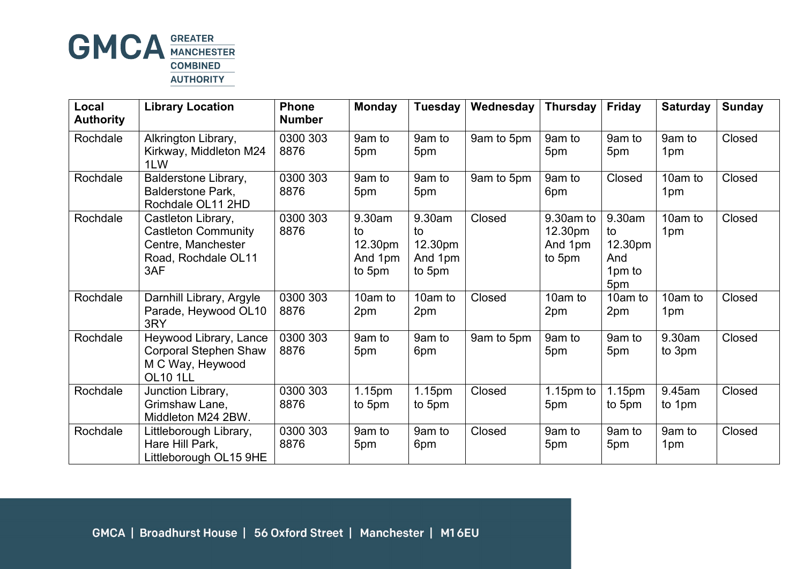

| Local<br><b>Authority</b> | <b>Library Location</b>                                                                              | <b>Phone</b><br><b>Number</b> | <b>Monday</b>                                | Tuesday                                      | Wednesday  | <b>Thursday</b>                           | <b>Friday</b>                                   | <b>Saturday</b>           | <b>Sunday</b> |
|---------------------------|------------------------------------------------------------------------------------------------------|-------------------------------|----------------------------------------------|----------------------------------------------|------------|-------------------------------------------|-------------------------------------------------|---------------------------|---------------|
| Rochdale                  | Alkrington Library,<br>Kirkway, Middleton M24<br>1LW                                                 | 0300 303<br>8876              | 9am to<br>5pm                                | 9am to<br>5pm                                | 9am to 5pm | 9am to<br>5pm                             | 9am to<br>5pm                                   | 9am to<br>1 <sub>pm</sub> | Closed        |
| Rochdale                  | Balderstone Library,<br><b>Balderstone Park,</b><br>Rochdale OL11 2HD                                | 0300 303<br>8876              | 9am to<br>5pm                                | 9am to<br>5pm                                | 9am to 5pm | 9am to<br>6pm                             | Closed                                          | 10am to<br>1pm            | Closed        |
| Rochdale                  | Castleton Library,<br><b>Castleton Community</b><br>Centre, Manchester<br>Road, Rochdale OL11<br>3AF | 0300 303<br>8876              | 9.30am<br>to<br>12.30pm<br>And 1pm<br>to 5pm | 9.30am<br>to<br>12.30pm<br>And 1pm<br>to 5pm | Closed     | 9.30am to<br>12.30pm<br>And 1pm<br>to 5pm | 9.30am<br>to<br>12.30pm<br>And<br>1pm to<br>5pm | 10am to<br>1pm            | Closed        |
| Rochdale                  | Darnhill Library, Argyle<br>Parade, Heywood OL10<br>3RY                                              | 0300 303<br>8876              | 10am to<br>2pm                               | 10am to<br>2pm                               | Closed     | 10am to<br>2pm                            | 10am to<br>2pm                                  | 10am to<br>1pm            | Closed        |
| Rochdale                  | Heywood Library, Lance<br><b>Corporal Stephen Shaw</b><br>M C Way, Heywood<br><b>OL10 1LL</b>        | 0300 303<br>8876              | 9am to<br>5pm                                | 9am to<br>6pm                                | 9am to 5pm | 9am to<br>5pm                             | 9am to<br>5pm                                   | 9.30am<br>to 3pm          | Closed        |
| Rochdale                  | Junction Library,<br>Grimshaw Lane,<br>Middleton M24 2BW.                                            | 0300 303<br>8876              | 1.15pm<br>to 5pm                             | 1.15pm<br>to 5pm                             | Closed     | $1.15pm$ to<br>5pm                        | 1.15pm<br>to 5pm                                | 9.45am<br>to 1pm          | Closed        |
| Rochdale                  | Littleborough Library,<br>Hare Hill Park,<br>Littleborough OL15 9HE                                  | 0300 303<br>8876              | 9am to<br>5pm                                | 9am to<br>6pm                                | Closed     | 9am to<br>5pm                             | 9am to<br>5pm                                   | 9am to<br>1pm             | Closed        |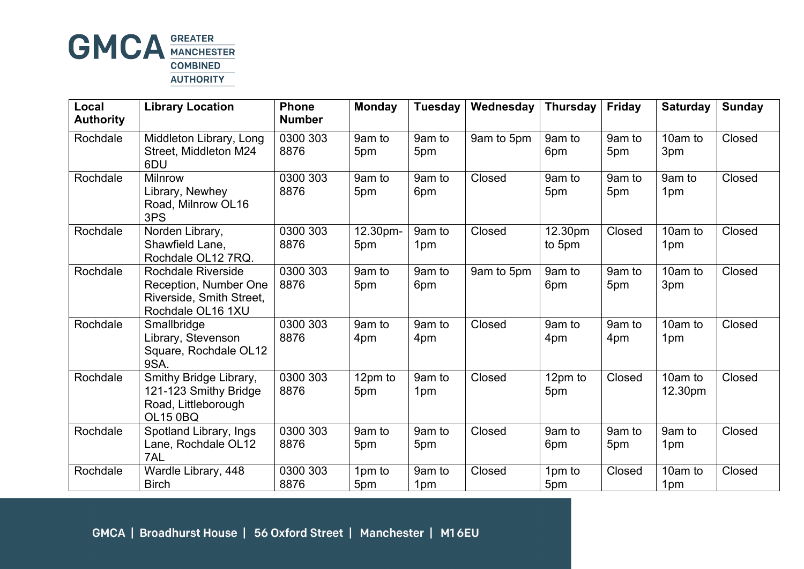

| Local<br><b>Authority</b> | <b>Library Location</b>                                                                             | <b>Phone</b><br><b>Number</b> | <b>Monday</b>   | <b>Tuesday</b> | Wednesday  | <b>Thursday</b>   | Friday        | <b>Saturday</b>            | <b>Sunday</b> |
|---------------------------|-----------------------------------------------------------------------------------------------------|-------------------------------|-----------------|----------------|------------|-------------------|---------------|----------------------------|---------------|
| Rochdale                  | Middleton Library, Long<br>Street, Middleton M24<br>6DU                                             | 0300 303<br>8876              | 9am to<br>5pm   | 9am to<br>5pm  | 9am to 5pm | 9am to<br>6pm     | 9am to<br>5pm | 10am to<br>3pm             | Closed        |
| Rochdale                  | <b>Milnrow</b><br>Library, Newhey<br>Road, Milnrow OL16<br>3PS                                      | 0300 303<br>8876              | 9am to<br>5pm   | 9am to<br>6pm  | Closed     | 9am to<br>5pm     | 9am to<br>5pm | 9am to<br>1pm              | Closed        |
| Rochdale                  | Norden Library,<br>Shawfield Lane,<br>Rochdale OL12 7RQ.                                            | 0300 303<br>8876              | 12.30pm-<br>5pm | 9am to<br>1pm  | Closed     | 12.30pm<br>to 5pm | Closed        | 10am to<br>1 <sub>pm</sub> | Closed        |
| Rochdale                  | <b>Rochdale Riverside</b><br>Reception, Number One<br>Riverside, Smith Street,<br>Rochdale OL16 1XU | 0300 303<br>8876              | 9am to<br>5pm   | 9am to<br>6pm  | 9am to 5pm | 9am to<br>6pm     | 9am to<br>5pm | 10am to<br>3pm             | Closed        |
| Rochdale                  | Smallbridge<br>Library, Stevenson<br>Square, Rochdale OL12<br>9SA.                                  | 0300 303<br>8876              | 9am to<br>4pm   | 9am to<br>4pm  | Closed     | 9am to<br>4pm     | 9am to<br>4pm | 10am to<br>1pm             | Closed        |
| Rochdale                  | Smithy Bridge Library,<br>121-123 Smithy Bridge<br>Road, Littleborough<br><b>OL15 0BQ</b>           | 0300 303<br>8876              | 12pm to<br>5pm  | 9am to<br>1pm  | Closed     | 12pm to<br>5pm    | Closed        | 10am to<br>12.30pm         | Closed        |
| Rochdale                  | Spotland Library, Ings<br>Lane, Rochdale OL12<br>7AL                                                | 0300 303<br>8876              | 9am to<br>5pm   | 9am to<br>5pm  | Closed     | 9am to<br>6pm     | 9am to<br>5pm | 9am to<br>1pm              | Closed        |
| Rochdale                  | Wardle Library, 448<br><b>Birch</b>                                                                 | 0300 303<br>8876              | 1pm to<br>5pm   | 9am to<br>1pm  | Closed     | 1pm to<br>5pm     | Closed        | 10am to<br>1pm             | Closed        |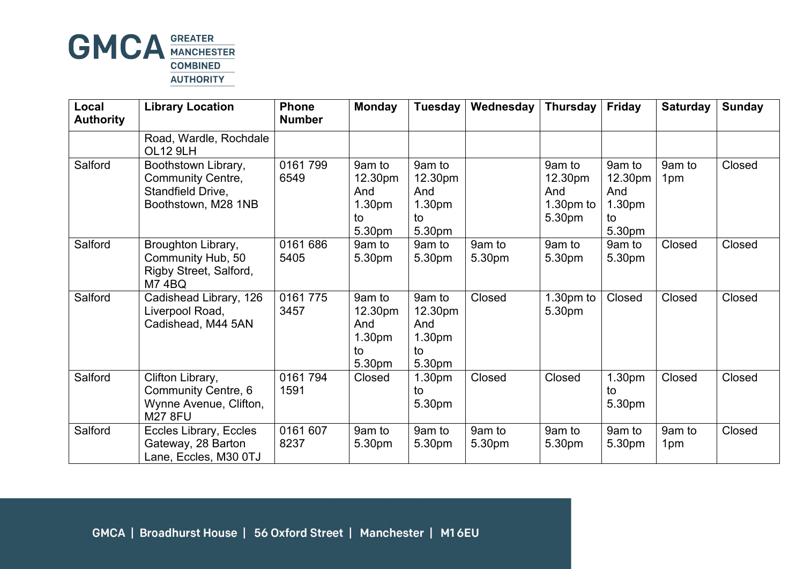

| Local<br><b>Authority</b> | <b>Library Location</b>                                                                     | <b>Phone</b><br><b>Number</b> | <b>Monday</b>                                      | Tuesday                                            | Wednesday        | <b>Thursday</b>                                   | <b>Friday</b>                                      | <b>Saturday</b>           | <b>Sunday</b> |
|---------------------------|---------------------------------------------------------------------------------------------|-------------------------------|----------------------------------------------------|----------------------------------------------------|------------------|---------------------------------------------------|----------------------------------------------------|---------------------------|---------------|
|                           | Road, Wardle, Rochdale<br><b>OL12 9LH</b>                                                   |                               |                                                    |                                                    |                  |                                                   |                                                    |                           |               |
| Salford                   | Boothstown Library,<br><b>Community Centre,</b><br>Standfield Drive,<br>Boothstown, M28 1NB | 0161799<br>6549               | 9am to<br>12.30pm<br>And<br>1.30pm<br>to<br>5.30pm | 9am to<br>12.30pm<br>And<br>1.30pm<br>to<br>5.30pm |                  | 9am to<br>12.30pm<br>And<br>$1.30pm$ to<br>5.30pm | 9am to<br>12.30pm<br>And<br>1.30pm<br>to<br>5.30pm | 9am to<br>1pm             | Closed        |
| Salford                   | Broughton Library,<br>Community Hub, 50<br>Rigby Street, Salford,<br><b>M74BQ</b>           | 0161 686<br>5405              | 9am to<br>5.30pm                                   | 9am to<br>5.30pm                                   | 9am to<br>5.30pm | 9am to<br>5.30pm                                  | 9am to<br>5.30pm                                   | Closed                    | Closed        |
| Salford                   | Cadishead Library, 126<br>Liverpool Road,<br>Cadishead, M44 5AN                             | 0161 775<br>3457              | 9am to<br>12.30pm<br>And<br>1.30pm<br>to<br>5.30pm | 9am to<br>12.30pm<br>And<br>1.30pm<br>to<br>5.30pm | Closed           | $1.30pm$ to<br>5.30pm                             | Closed                                             | Closed                    | Closed        |
| Salford                   | Clifton Library,<br><b>Community Centre, 6</b><br>Wynne Avenue, Clifton,<br><b>M27 8FU</b>  | 0161794<br>1591               | Closed                                             | 1.30 <sub>pm</sub><br>to<br>5.30pm                 | Closed           | Closed                                            | 1.30pm<br>to<br>5.30pm                             | Closed                    | Closed        |
| Salford                   | Eccles Library, Eccles<br>Gateway, 28 Barton<br>Lane, Eccles, M30 0TJ                       | 0161 607<br>8237              | 9am to<br>5.30pm                                   | 9am to<br>5.30pm                                   | 9am to<br>5.30pm | 9am to<br>5.30pm                                  | 9am to<br>5.30pm                                   | 9am to<br>1 <sub>pm</sub> | Closed        |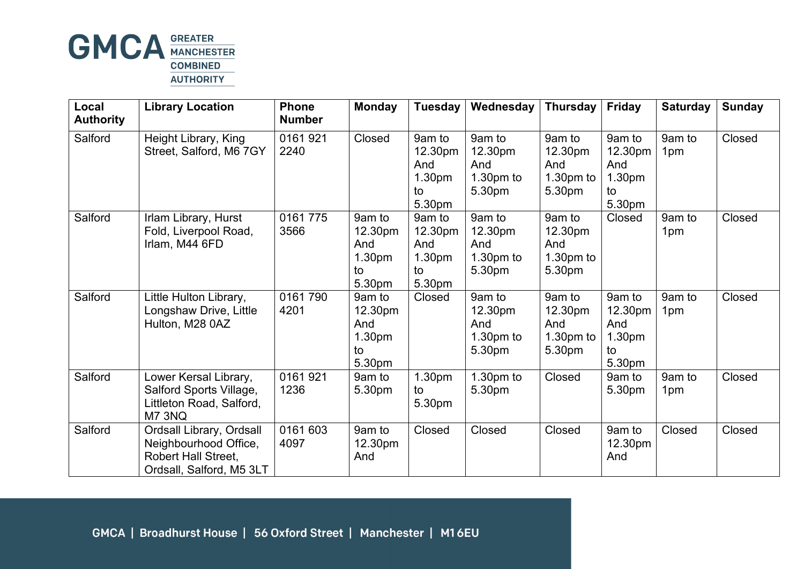

| Local<br><b>Authority</b> | <b>Library Location</b>                                                                              | <b>Phone</b><br><b>Number</b> | <b>Monday</b>                                                  | Tuesday                                            | Wednesday                                         | <b>Thursday</b>                                   | <b>Friday</b>                                      | <b>Saturday</b>           | <b>Sunday</b> |
|---------------------------|------------------------------------------------------------------------------------------------------|-------------------------------|----------------------------------------------------------------|----------------------------------------------------|---------------------------------------------------|---------------------------------------------------|----------------------------------------------------|---------------------------|---------------|
| Salford                   | Height Library, King<br>Street, Salford, M6 7GY                                                      | 0161 921<br>2240              | Closed                                                         | 9am to<br>12.30pm<br>And<br>1.30pm<br>to<br>5.30pm | 9am to<br>12.30pm<br>And<br>1.30pm to<br>5.30pm   | 9am to<br>12.30pm<br>And<br>1.30pm to<br>5.30pm   | 9am to<br>12.30pm<br>And<br>1.30pm<br>to<br>5.30pm | 9am to<br>1 <sub>pm</sub> | Closed        |
| Salford                   | Irlam Library, Hurst<br>Fold, Liverpool Road,<br>Irlam, M44 6FD                                      | 0161 775<br>3566              | 9am to<br>12.30pm<br>And<br>1.30 <sub>pm</sub><br>to<br>5.30pm | 9am to<br>12.30pm<br>And<br>1.30pm<br>to<br>5.30pm | 9am to<br>12.30pm<br>And<br>1.30pm to<br>5.30pm   | 9am to<br>12.30pm<br>And<br>$1.30pm$ to<br>5.30pm | Closed                                             | 9am to<br>1pm             | Closed        |
| Salford                   | Little Hulton Library,<br>Longshaw Drive, Little<br>Hulton, M28 0AZ                                  | 0161790<br>4201               | 9am to<br>12.30pm<br>And<br>1.30pm<br>to<br>5.30pm             | Closed                                             | 9am to<br>12.30pm<br>And<br>$1.30pm$ to<br>5.30pm | 9am to<br>12.30pm<br>And<br>$1.30pm$ to<br>5.30pm | 9am to<br>12.30pm<br>And<br>1.30pm<br>to<br>5.30pm | 9am to<br>1 <sub>pm</sub> | Closed        |
| Salford                   | Lower Kersal Library,<br>Salford Sports Village,<br>Littleton Road, Salford,<br>M7 3NQ               | 0161 921<br>1236              | 9am to<br>5.30pm                                               | 1.30pm<br>to<br>5.30pm                             | $1.30pm$ to<br>5.30pm                             | Closed                                            | 9am to<br>5.30pm                                   | 9am to<br>1 <sub>pm</sub> | Closed        |
| Salford                   | Ordsall Library, Ordsall<br>Neighbourhood Office,<br>Robert Hall Street,<br>Ordsall, Salford, M5 3LT | 0161 603<br>4097              | 9am to<br>12.30pm<br>And                                       | Closed                                             | Closed                                            | Closed                                            | 9am to<br>12.30pm<br>And                           | Closed                    | Closed        |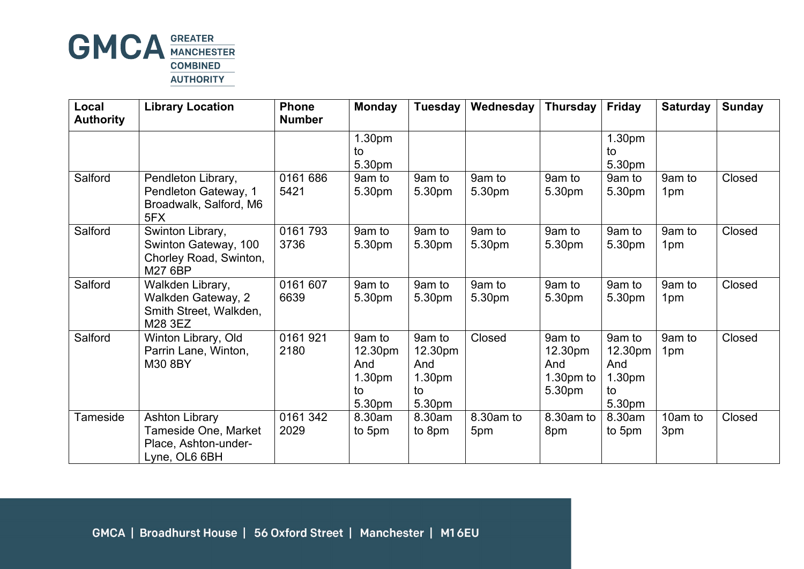

| Local<br><b>Authority</b> | <b>Library Location</b>                                                                | <b>Phone</b><br><b>Number</b> | <b>Monday</b>                                      | <b>Tuesday</b>                                                 | Wednesday        | <b>Thursday</b>                                   | <b>Friday</b>                                                  | <b>Saturday</b>           | <b>Sunday</b> |
|---------------------------|----------------------------------------------------------------------------------------|-------------------------------|----------------------------------------------------|----------------------------------------------------------------|------------------|---------------------------------------------------|----------------------------------------------------------------|---------------------------|---------------|
|                           |                                                                                        |                               | 1.30pm<br>to<br>5.30pm                             |                                                                |                  |                                                   | 1.30pm<br>to<br>5.30pm                                         |                           |               |
| Salford                   | Pendleton Library,<br>Pendleton Gateway, 1<br>Broadwalk, Salford, M6<br>5FX            | 0161 686<br>5421              | 9am to<br>5.30pm                                   | 9am to<br>5.30pm                                               | 9am to<br>5.30pm | 9am to<br>5.30pm                                  | 9am to<br>5.30pm                                               | 9am to<br>1 <sub>pm</sub> | Closed        |
| Salford                   | Swinton Library,<br>Swinton Gateway, 100<br>Chorley Road, Swinton,<br>M27 6BP          | 0161793<br>3736               | 9am to<br>5.30pm                                   | 9am to<br>5.30pm                                               | 9am to<br>5.30pm | 9am to<br>5.30pm                                  | 9am to<br>5.30pm                                               | 9am to<br>1 <sub>pm</sub> | Closed        |
| Salford                   | Walkden Library,<br>Walkden Gateway, 2<br>Smith Street, Walkden,<br>M28 3EZ            | 0161 607<br>6639              | 9am to<br>5.30pm                                   | 9am to<br>5.30pm                                               | 9am to<br>5.30pm | 9am to<br>5.30pm                                  | 9am to<br>5.30pm                                               | 9am to<br>1 <sub>pm</sub> | Closed        |
| Salford                   | Winton Library, Old<br>Parrin Lane, Winton,<br>M30 8BY                                 | 0161921<br>2180               | 9am to<br>12.30pm<br>And<br>1.30pm<br>to<br>5.30pm | 9am to<br>12.30pm<br>And<br>1.30 <sub>pm</sub><br>to<br>5.30pm | Closed           | 9am to<br>12.30pm<br>And<br>$1.30pm$ to<br>5.30pm | 9am to<br>12.30pm<br>And<br>1.30 <sub>pm</sub><br>to<br>5.30pm | 9am to<br>1 <sub>pm</sub> | Closed        |
| Tameside                  | <b>Ashton Library</b><br>Tameside One, Market<br>Place, Ashton-under-<br>Lyne, OL6 6BH | 0161 342<br>2029              | 8.30am<br>to 5pm                                   | 8.30am<br>to 8pm                                               | 8.30am to<br>5pm | 8.30am to<br>8pm                                  | 8.30am<br>to 5pm                                               | 10am to<br>3pm            | Closed        |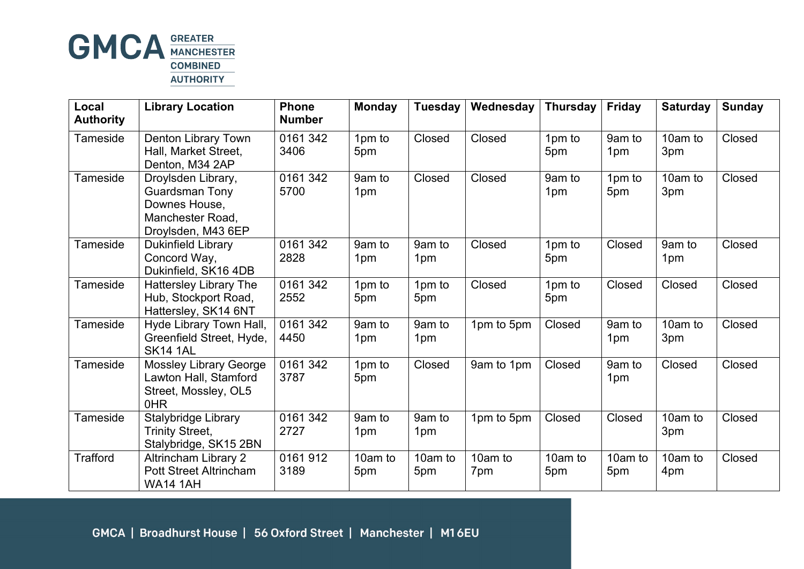

| Local<br><b>Authority</b> | <b>Library Location</b>                                                                                | <b>Phone</b><br><b>Number</b> | <b>Monday</b>  | <b>Tuesday</b> | Wednesday      | <b>Thursday</b> | Friday         | <b>Saturday</b> | <b>Sunday</b> |
|---------------------------|--------------------------------------------------------------------------------------------------------|-------------------------------|----------------|----------------|----------------|-----------------|----------------|-----------------|---------------|
| Tameside                  | Denton Library Town<br>Hall, Market Street,<br>Denton, M34 2AP                                         | 0161 342<br>3406              | 1pm to<br>5pm  | Closed         | Closed         | 1pm to<br>5pm   | 9am to<br>1pm  | 10am to<br>3pm  | Closed        |
| Tameside                  | Droylsden Library,<br><b>Guardsman Tony</b><br>Downes House,<br>Manchester Road,<br>Droylsden, M43 6EP | 0161 342<br>5700              | 9am to<br>1pm  | Closed         | Closed         | 9am to<br>1pm   | 1pm to<br>5pm  | 10am to<br>3pm  | Closed        |
| Tameside                  | <b>Dukinfield Library</b><br>Concord Way,<br>Dukinfield, SK16 4DB                                      | 0161 342<br>2828              | 9am to<br>1pm  | 9am to<br>1pm  | Closed         | 1pm to<br>5pm   | Closed         | 9am to<br>1pm   | Closed        |
| Tameside                  | <b>Hattersley Library The</b><br>Hub, Stockport Road,<br>Hattersley, SK14 6NT                          | 0161 342<br>2552              | 1pm to<br>5pm  | 1pm to<br>5pm  | Closed         | 1pm to<br>5pm   | Closed         | Closed          | Closed        |
| Tameside                  | Hyde Library Town Hall,<br>Greenfield Street, Hyde,<br><b>SK14 1AL</b>                                 | 0161 342<br>4450              | 9am to<br>1pm  | 9am to<br>1pm  | 1pm to 5pm     | Closed          | 9am to<br>1pm  | 10am to<br>3pm  | Closed        |
| Tameside                  | <b>Mossley Library George</b><br>Lawton Hall, Stamford<br>Street, Mossley, OL5<br>0HR                  | 0161 342<br>3787              | 1pm to<br>5pm  | Closed         | 9am to 1pm     | Closed          | 9am to<br>1pm  | Closed          | Closed        |
| Tameside                  | Stalybridge Library<br><b>Trinity Street,</b><br>Stalybridge, SK15 2BN                                 | 0161 342<br>2727              | 9am to<br>1pm  | 9am to<br>1pm  | 1pm to 5pm     | Closed          | Closed         | 10am to<br>3pm  | Closed        |
| <b>Trafford</b>           | <b>Altrincham Library 2</b><br><b>Pott Street Altrincham</b><br><b>WA14 1AH</b>                        | 0161912<br>3189               | 10am to<br>5pm | 10am to<br>5pm | 10am to<br>7pm | 10am to<br>5pm  | 10am to<br>5pm | 10am to<br>4pm  | Closed        |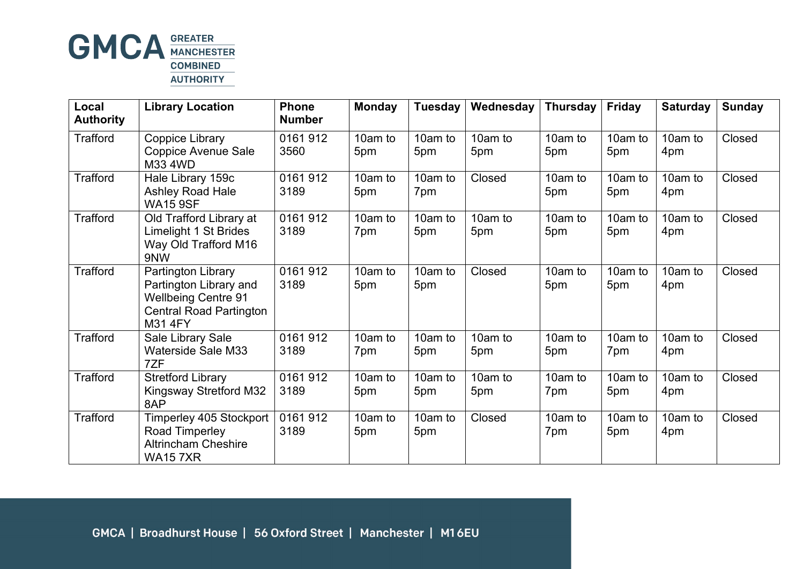

| Local<br><b>Authority</b> | <b>Library Location</b>                                                                                                 | <b>Phone</b><br><b>Number</b> | <b>Monday</b>  | <b>Tuesday</b> | Wednesday      | <b>Thursday</b> | <b>Friday</b>  | <b>Saturday</b> | <b>Sunday</b> |
|---------------------------|-------------------------------------------------------------------------------------------------------------------------|-------------------------------|----------------|----------------|----------------|-----------------|----------------|-----------------|---------------|
| <b>Trafford</b>           | Coppice Library<br><b>Coppice Avenue Sale</b><br>M33 4WD                                                                | 0161912<br>3560               | 10am to<br>5pm | 10am to<br>5pm | 10am to<br>5pm | 10am to<br>5pm  | 10am to<br>5pm | 10am to<br>4pm  | Closed        |
| <b>Trafford</b>           | Hale Library 159c<br><b>Ashley Road Hale</b><br><b>WA15 9SF</b>                                                         | 0161 912<br>3189              | 10am to<br>5pm | 10am to<br>7pm | Closed         | 10am to<br>5pm  | 10am to<br>5pm | 10am to<br>4pm  | Closed        |
| <b>Trafford</b>           | Old Trafford Library at<br><b>Limelight 1 St Brides</b><br>Way Old Trafford M16<br>9NW                                  | 0161 912<br>3189              | 10am to<br>7pm | 10am to<br>5pm | 10am to<br>5pm | 10am to<br>5pm  | 10am to<br>5pm | 10am to<br>4pm  | Closed        |
| <b>Trafford</b>           | Partington Library<br>Partington Library and<br><b>Wellbeing Centre 91</b><br><b>Central Road Partington</b><br>M31 4FY | 0161 912<br>3189              | 10am to<br>5pm | 10am to<br>5pm | Closed         | 10am to<br>5pm  | 10am to<br>5pm | 10am to<br>4pm  | Closed        |
| <b>Trafford</b>           | Sale Library Sale<br><b>Waterside Sale M33</b><br>7ZF                                                                   | 0161 912<br>3189              | 10am to<br>7pm | 10am to<br>5pm | 10am to<br>5pm | 10am to<br>5pm  | 10am to<br>7pm | 10am to<br>4pm  | Closed        |
| <b>Trafford</b>           | <b>Stretford Library</b><br><b>Kingsway Stretford M32</b><br>8AP                                                        | 0161 912<br>3189              | 10am to<br>5pm | 10am to<br>5pm | 10am to<br>5pm | 10am to<br>7pm  | 10am to<br>5pm | 10am to<br>4pm  | Closed        |
| <b>Trafford</b>           | Timperley 405 Stockport  <br>Road Timperley<br><b>Altrincham Cheshire</b><br><b>WA157XR</b>                             | 0161912<br>3189               | 10am to<br>5pm | 10am to<br>5pm | Closed         | 10am to<br>7pm  | 10am to<br>5pm | 10am to<br>4pm  | Closed        |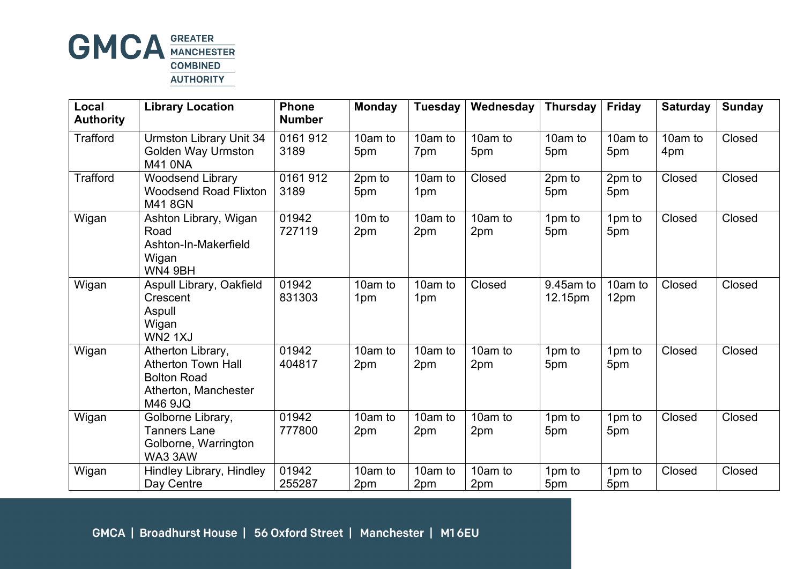

| Local<br><b>Authority</b> | <b>Library Location</b>                                                                                 | <b>Phone</b><br><b>Number</b> | <b>Monday</b>   | Tuesday        | Wednesday      | <b>Thursday</b>      | <b>Friday</b>   | <b>Saturday</b> | <b>Sunday</b> |
|---------------------------|---------------------------------------------------------------------------------------------------------|-------------------------------|-----------------|----------------|----------------|----------------------|-----------------|-----------------|---------------|
| <b>Trafford</b>           | <b>Urmston Library Unit 34</b><br><b>Golden Way Urmston</b><br><b>M41 ONA</b>                           | 0161912<br>3189               | 10am to<br>5pm  | 10am to<br>7pm | 10am to<br>5pm | 10am to<br>5pm       | 10am to<br>5pm  | 10am to<br>4pm  | Closed        |
| <b>Trafford</b>           | <b>Woodsend Library</b><br><b>Woodsend Road Flixton</b><br>M418GN                                       | 0161912<br>3189               | 2pm to<br>5pm   | 10am to<br>1pm | Closed         | 2pm to<br>5pm        | 2pm to<br>5pm   | Closed          | Closed        |
| Wigan                     | Ashton Library, Wigan<br>Road<br>Ashton-In-Makerfield<br>Wigan<br>WN4 9BH                               | 01942<br>727119               | $10m$ to<br>2pm | 10am to<br>2pm | 10am to<br>2pm | 1pm to<br>5pm        | 1pm to<br>5pm   | Closed          | Closed        |
| Wigan                     | Aspull Library, Oakfield<br>Crescent<br>Aspull<br>Wigan<br><b>WN2 1XJ</b>                               | 01942<br>831303               | 10am to<br>1pm  | 10am to<br>1pm | Closed         | 9.45am to<br>12.15pm | 10am to<br>12pm | Closed          | Closed        |
| Wigan                     | Atherton Library,<br><b>Atherton Town Hall</b><br><b>Bolton Road</b><br>Atherton, Manchester<br>M46 9JQ | 01942<br>404817               | 10am to<br>2pm  | 10am to<br>2pm | 10am to<br>2pm | 1pm to<br>5pm        | 1pm to<br>5pm   | Closed          | Closed        |
| Wigan                     | Golborne Library,<br><b>Tanners Lane</b><br>Golborne, Warrington<br>WA33AW                              | 01942<br>777800               | 10am to<br>2pm  | 10am to<br>2pm | 10am to<br>2pm | 1pm to<br>5pm        | 1pm to<br>5pm   | Closed          | Closed        |
| Wigan                     | <b>Hindley Library, Hindley</b><br>Day Centre                                                           | 01942<br>255287               | 10am to<br>2pm  | 10am to<br>2pm | 10am to<br>2pm | 1pm to<br>5pm        | 1pm to<br>5pm   | Closed          | Closed        |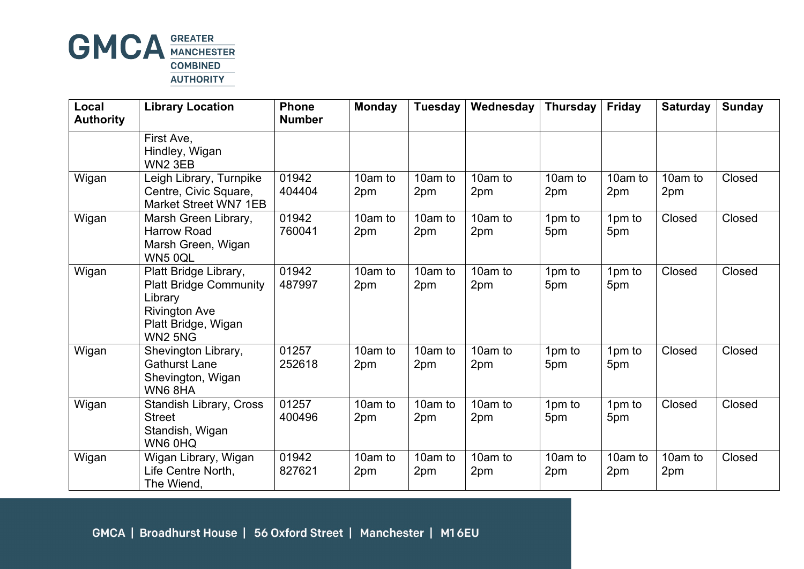

| Local<br><b>Authority</b> | <b>Library Location</b>                                                                                                                             | <b>Phone</b><br><b>Number</b> | <b>Monday</b>  | <b>Tuesday</b> | Wednesday      | <b>Thursday</b> | <b>Friday</b>  | <b>Saturday</b> | <b>Sunday</b> |
|---------------------------|-----------------------------------------------------------------------------------------------------------------------------------------------------|-------------------------------|----------------|----------------|----------------|-----------------|----------------|-----------------|---------------|
|                           | First Ave,<br>Hindley, Wigan<br>WN <sub>2</sub> 3EB                                                                                                 |                               |                |                |                |                 |                |                 |               |
| Wigan                     | Leigh Library, Turnpike<br>Centre, Civic Square,<br><b>Market Street WN7 1EB</b>                                                                    | 01942<br>404404               | 10am to<br>2pm | 10am to<br>2pm | 10am to<br>2pm | 10am to<br>2pm  | 10am to<br>2pm | 10am to<br>2pm  | Closed        |
| Wigan                     | Marsh Green Library,<br><b>Harrow Road</b><br>Marsh Green, Wigan<br>WN5 0QL                                                                         | 01942<br>760041               | 10am to<br>2pm | 10am to<br>2pm | 10am to<br>2pm | 1pm to<br>5pm   | 1pm to<br>5pm  | Closed          | Closed        |
| Wigan                     | Platt Bridge Library,<br><b>Platt Bridge Community</b><br>Library<br><b>Rivington Ave</b><br>Platt Bridge, Wigan<br>WN <sub>2</sub> 5N <sub>G</sub> | 01942<br>487997               | 10am to<br>2pm | 10am to<br>2pm | 10am to<br>2pm | 1pm to<br>5pm   | 1pm to<br>5pm  | Closed          | Closed        |
| Wigan                     | Shevington Library,<br><b>Gathurst Lane</b><br>Shevington, Wigan<br>WN68HA                                                                          | 01257<br>252618               | 10am to<br>2pm | 10am to<br>2pm | 10am to<br>2pm | 1pm to<br>5pm   | 1pm to<br>5pm  | Closed          | Closed        |
| Wigan                     | <b>Standish Library, Cross</b><br><b>Street</b><br>Standish, Wigan<br>WN6 0HQ                                                                       | 01257<br>400496               | 10am to<br>2pm | 10am to<br>2pm | 10am to<br>2pm | 1pm to<br>5pm   | 1pm to<br>5pm  | Closed          | Closed        |
| Wigan                     | Wigan Library, Wigan<br>Life Centre North,<br>The Wiend,                                                                                            | 01942<br>827621               | 10am to<br>2pm | 10am to<br>2pm | 10am to<br>2pm | 10am to<br>2pm  | 10am to<br>2pm | 10am to<br>2pm  | Closed        |